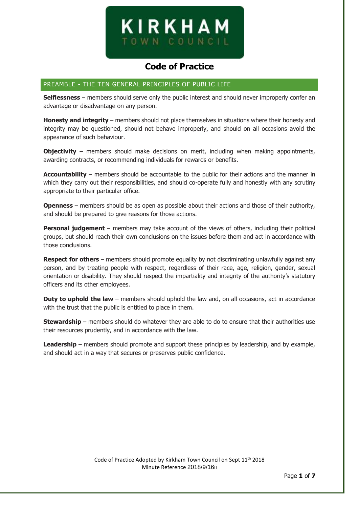# **Code of Practice**

KIRKHAN

OWN COUNC

## PREAMBLE - THE TEN GENERAL PRINCIPLES OF PUBLIC LIFE

**Selflessness** – members should serve only the public interest and should never improperly confer an advantage or disadvantage on any person.

**Honesty and integrity** – members should not place themselves in situations where their honesty and integrity may be questioned, should not behave improperly, and should on all occasions avoid the appearance of such behaviour.

**Objectivity** – members should make decisions on merit, including when making appointments, awarding contracts, or recommending individuals for rewards or benefits.

**Accountability** – members should be accountable to the public for their actions and the manner in which they carry out their responsibilities, and should co-operate fully and honestly with any scrutiny appropriate to their particular office.

**Openness** – members should be as open as possible about their actions and those of their authority, and should be prepared to give reasons for those actions.

**Personal judgement** – members may take account of the views of others, including their political groups, but should reach their own conclusions on the issues before them and act in accordance with those conclusions.

**Respect for others** – members should promote equality by not discriminating unlawfully against any person, and by treating people with respect, regardless of their race, age, religion, gender, sexual orientation or disability. They should respect the impartiality and integrity of the authority's statutory officers and its other employees.

**Duty to uphold the law** – members should uphold the law and, on all occasions, act in accordance with the trust that the public is entitled to place in them.

**Stewardship** – members should do whatever they are able to do to ensure that their authorities use their resources prudently, and in accordance with the law.

**Leadership** – members should promote and support these principles by leadership, and by example, and should act in a way that secures or preserves public confidence.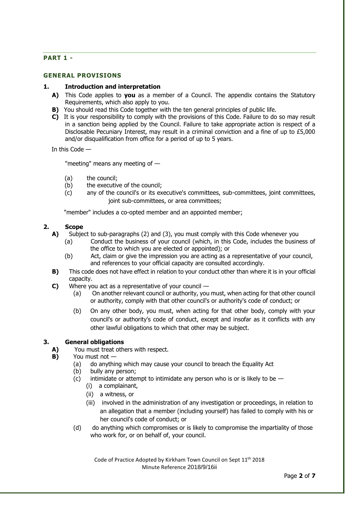## **PART 1 -**

## **GENERAL PROVISIONS**

#### **1. Introduction and interpretation**

- **A)** This Code applies to **you** as a member of a Council. The appendix contains the Statutory Requirements, which also apply to you.
- **B)** You should read this Code together with the ten general principles of public life.
- **C)** It is your responsibility to comply with the provisions of this Code. Failure to do so may result in a sanction being applied by the Council. Failure to take appropriate action is respect of a Disclosable Pecuniary Interest, may result in a criminal conviction and a fine of up to £5,000 and/or disqualification from office for a period of up to 5 years.

In this Code —

"meeting" means any meeting of —

- (a) the council;
- (b) the executive of the council;
- (c) any of the council's or its executive's committees, sub-committees, joint committees, joint sub-committees, or area committees;

"member" includes a co-opted member and an appointed member;

## **2. Scope**

- **A)** Subject to sub-paragraphs (2) and (3), you must comply with this Code whenever you
	- (a) Conduct the business of your council (which, in this Code, includes the business of the office to which you are elected or appointed); or
	- (b) Act, claim or give the impression you are acting as a representative of your council, and references to your official capacity are consulted accordingly.
- **B)** This code does not have effect in relation to your conduct other than where it is in your official capacity.
- **C)** Where you act as a representative of your council
	- (a) On another relevant council or authority, you must, when acting for that other council or authority, comply with that other council's or authority's code of conduct; or
	- (b) On any other body, you must, when acting for that other body, comply with your council's or authority's code of conduct, except and insofar as it conflicts with any other lawful obligations to which that other may be subject.

## **3. General obligations**

- **A)** You must treat others with respect.
- **B)** You must not
	- (a) do anything which may cause your council to breach the Equality Act
	- (b) bully any person;
	- (c) intimidate or attempt to intimidate any person who is or is likely to be  $-$ 
		- (i) a complainant,
		- (ii) a witness, or
		- (iii) involved in the administration of any investigation or proceedings, in relation to an allegation that a member (including yourself) has failed to comply with his or her council's code of conduct; or
	- (d) do anything which compromises or is likely to compromise the impartiality of those who work for, or on behalf of, your council.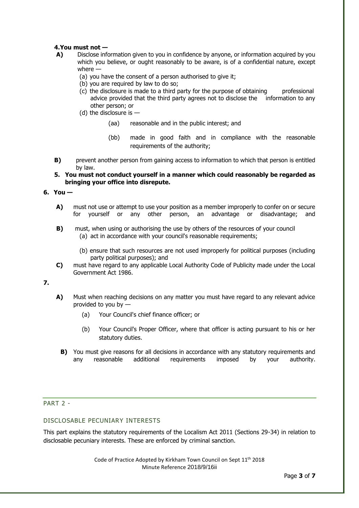## **4.You must not —**

- **A)** Disclose information given to you in confidence by anyone, or information acquired by you which you believe, or ought reasonably to be aware, is of a confidential nature, except where —
	- (a) you have the consent of a person authorised to give it;
	- (b) you are required by law to do so;
	- (c) the disclosure is made to a third party for the purpose of obtaining professional advice provided that the third party agrees not to disclose the information to any other person; or
	- (d) the disclosure is  $-$ 
		- (aa) reasonable and in the public interest; and
		- (bb) made in good faith and in compliance with the reasonable requirements of the authority;
- **B)** prevent another person from gaining access to information to which that person is entitled by law.
- **5. You must not conduct yourself in a manner which could reasonably be regarded as bringing your office into disrepute.**

## **6. You —**

- **A)** must not use or attempt to use your position as a member improperly to confer on or secure for yourself or any other person, an advantage or disadvantage; and
- **B)** must, when using or authorising the use by others of the resources of your council (a) act in accordance with your council's reasonable requirements;
	- (b) ensure that such resources are not used improperly for political purposes (including party political purposes); and
- **C)** must have regard to any applicable Local Authority Code of Publicity made under the Local Government Act 1986.

**7.**

- **A)** Must when reaching decisions on any matter you must have regard to any relevant advice provided to you by —
	- (a) Your Council's chief finance officer; or
	- (b) Your Council's Proper Officer, where that officer is acting pursuant to his or her statutory duties.
	- **B)** You must give reasons for all decisions in accordance with any statutory requirements and any reasonable additional requirements imposed by your authority.

## PART 2 -

## DISCLOSABLE PECUNIARY INTERESTS

This part explains the statutory requirements of the Localism Act 2011 (Sections 29-34) in relation to disclosable pecuniary interests. These are enforced by criminal sanction.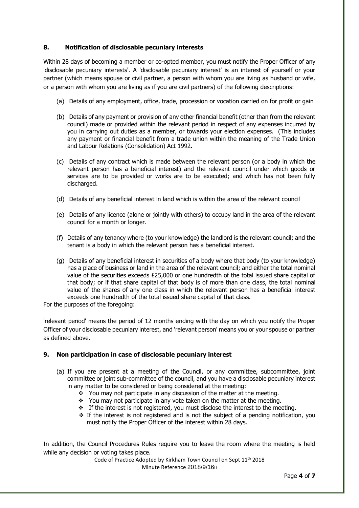## **8. Notification of disclosable pecuniary interests**

Within 28 days of becoming a member or co-opted member, you must notify the Proper Officer of any 'disclosable pecuniary interests'. A 'disclosable pecuniary interest' is an interest of yourself or your partner (which means spouse or civil partner, a person with whom you are living as husband or wife, or a person with whom you are living as if you are civil partners) of the following descriptions:

- (a) Details of any employment, office, trade, procession or vocation carried on for profit or gain
- (b) Details of any payment or provision of any other financial benefit (other than from the relevant council) made or provided within the relevant period in respect of any expenses incurred by you in carrying out duties as a member, or towards your election expenses. (This includes any payment or financial benefit from a trade union within the meaning of the Trade Union and Labour Relations (Consolidation) Act 1992.
- (c) Details of any contract which is made between the relevant person (or a body in which the relevant person has a beneficial interest) and the relevant council under which goods or services are to be provided or works are to be executed; and which has not been fully discharged.
- (d) Details of any beneficial interest in land which is within the area of the relevant council
- (e) Details of any licence (alone or jointly with others) to occupy land in the area of the relevant council for a month or longer.
- (f) Details of any tenancy where (to your knowledge) the landlord is the relevant council; and the tenant is a body in which the relevant person has a beneficial interest.
- (g) Details of any beneficial interest in securities of a body where that body (to your knowledge) has a place of business or land in the area of the relevant council; and either the total nominal value of the securities exceeds £25,000 or one hundredth of the total issued share capital of that body; or if that share capital of that body is of more than one class, the total nominal value of the shares of any one class in which the relevant person has a beneficial interest exceeds one hundredth of the total issued share capital of that class.

For the purposes of the foregoing:

'relevant period' means the period of 12 months ending with the day on which you notify the Proper Officer of your disclosable pecuniary interest, and 'relevant person' means you or your spouse or partner as defined above.

## **9. Non participation in case of disclosable pecuniary interest**

- (a) If you are present at a meeting of the Council, or any committee, subcommittee, joint committee or joint sub-committee of the council, and you have a disclosable pecuniary interest in any matter to be considered or being considered at the meeting:
	- $\cdot$  You may not participate in any discussion of the matter at the meeting.
	- \* You may not participate in any vote taken on the matter at the meeting.
	- $\div$  If the interest is not registered, you must disclose the interest to the meeting.
	- $\div$  If the interest is not registered and is not the subject of a pending notification, you must notify the Proper Officer of the interest within 28 days.

In addition, the Council Procedures Rules require you to leave the room where the meeting is held while any decision or voting takes place.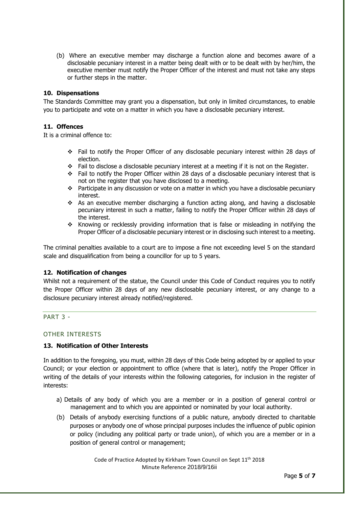(b) Where an executive member may discharge a function alone and becomes aware of a disclosable pecuniary interest in a matter being dealt with or to be dealt with by her/him, the executive member must notify the Proper Officer of the interest and must not take any steps or further steps in the matter.

## **10. Dispensations**

The Standards Committee may grant you a dispensation, but only in limited circumstances, to enable you to participate and vote on a matter in which you have a disclosable pecuniary interest.

## **11. Offences**

It is a criminal offence to:

- Fail to notify the Proper Officer of any disclosable pecuniary interest within 28 days of election.
- Fail to disclose a disclosable pecuniary interest at a meeting if it is not on the Register.
- Fail to notify the Proper Officer within 28 days of a disclosable pecuniary interest that is not on the register that you have disclosed to a meeting.
- Participate in any discussion or vote on a matter in which you have a disclosable pecuniary interest.
- As an executive member discharging a function acting along, and having a disclosable pecuniary interest in such a matter, failing to notify the Proper Officer within 28 days of the interest.
- Knowing or recklessly providing information that is false or misleading in notifying the Proper Officer of a disclosable pecuniary interest or in disclosing such interest to a meeting.

The criminal penalties available to a court are to impose a fine not exceeding level 5 on the standard scale and disqualification from being a councillor for up to 5 years.

## **12. Notification of changes**

Whilst not a requirement of the statue, the Council under this Code of Conduct requires you to notify the Proper Officer within 28 days of any new disclosable pecuniary interest, or any change to a disclosure pecuniary interest already notified/registered.

## PART 3 -

## OTHER INTERESTS

## **13. Notification of Other Interests**

In addition to the foregoing, you must, within 28 days of this Code being adopted by or applied to your Council; or your election or appointment to office (where that is later), notify the Proper Officer in writing of the details of your interests within the following categories, for inclusion in the register of interests:

- a) Details of any body of which you are a member or in a position of general control or management and to which you are appointed or nominated by your local authority.
- (b) Details of anybody exercising functions of a public nature, anybody directed to charitable purposes or anybody one of whose principal purposes includes the influence of public opinion or policy (including any political party or trade union), of which you are a member or in a position of general control or management;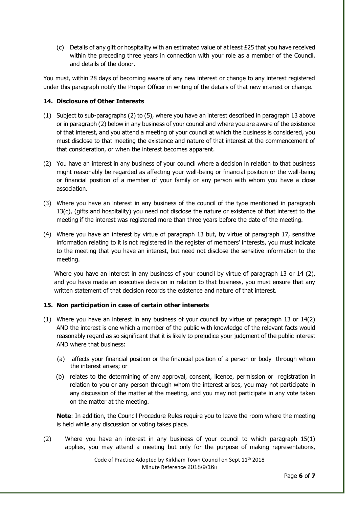(c) Details of any gift or hospitality with an estimated value of at least £25 that you have received within the preceding three years in connection with your role as a member of the Council, and details of the donor.

You must, within 28 days of becoming aware of any new interest or change to any interest registered under this paragraph notify the Proper Officer in writing of the details of that new interest or change.

## **14. Disclosure of Other Interests**

- (1) Subject to sub-paragraphs (2) to (5), where you have an interest described in paragraph 13 above or in paragraph (2) below in any business of your council and where you are aware of the existence of that interest, and you attend a meeting of your council at which the business is considered, you must disclose to that meeting the existence and nature of that interest at the commencement of that consideration, or when the interest becomes apparent.
- (2) You have an interest in any business of your council where a decision in relation to that business might reasonably be regarded as affecting your well-being or financial position or the well-being or financial position of a member of your family or any person with whom you have a close association.
- (3) Where you have an interest in any business of the council of the type mentioned in paragraph 13(c), (gifts and hospitality) you need not disclose the nature or existence of that interest to the meeting if the interest was registered more than three years before the date of the meeting.
- (4) Where you have an interest by virtue of paragraph 13 but, by virtue of paragraph 17, sensitive information relating to it is not registered in the register of members' interests, you must indicate to the meeting that you have an interest, but need not disclose the sensitive information to the meeting.

Where you have an interest in any business of your council by virtue of paragraph 13 or 14 (2), and you have made an executive decision in relation to that business, you must ensure that any written statement of that decision records the existence and nature of that interest.

## **15. Non participation in case of certain other interests**

- (1) Where you have an interest in any business of your council by virtue of paragraph 13 or 14(2) AND the interest is one which a member of the public with knowledge of the relevant facts would reasonably regard as so significant that it is likely to prejudice your judgment of the public interest AND where that business:
	- (a) affects your financial position or the financial position of a person or body through whom the interest arises; or
	- (b) relates to the determining of any approval, consent, licence, permission or registration in relation to you or any person through whom the interest arises, you may not participate in any discussion of the matter at the meeting, and you may not participate in any vote taken on the matter at the meeting.

**Note**: In addition, the Council Procedure Rules require you to leave the room where the meeting is held while any discussion or voting takes place.

(2) Where you have an interest in any business of your council to which paragraph 15(1) applies, you may attend a meeting but only for the purpose of making representations,